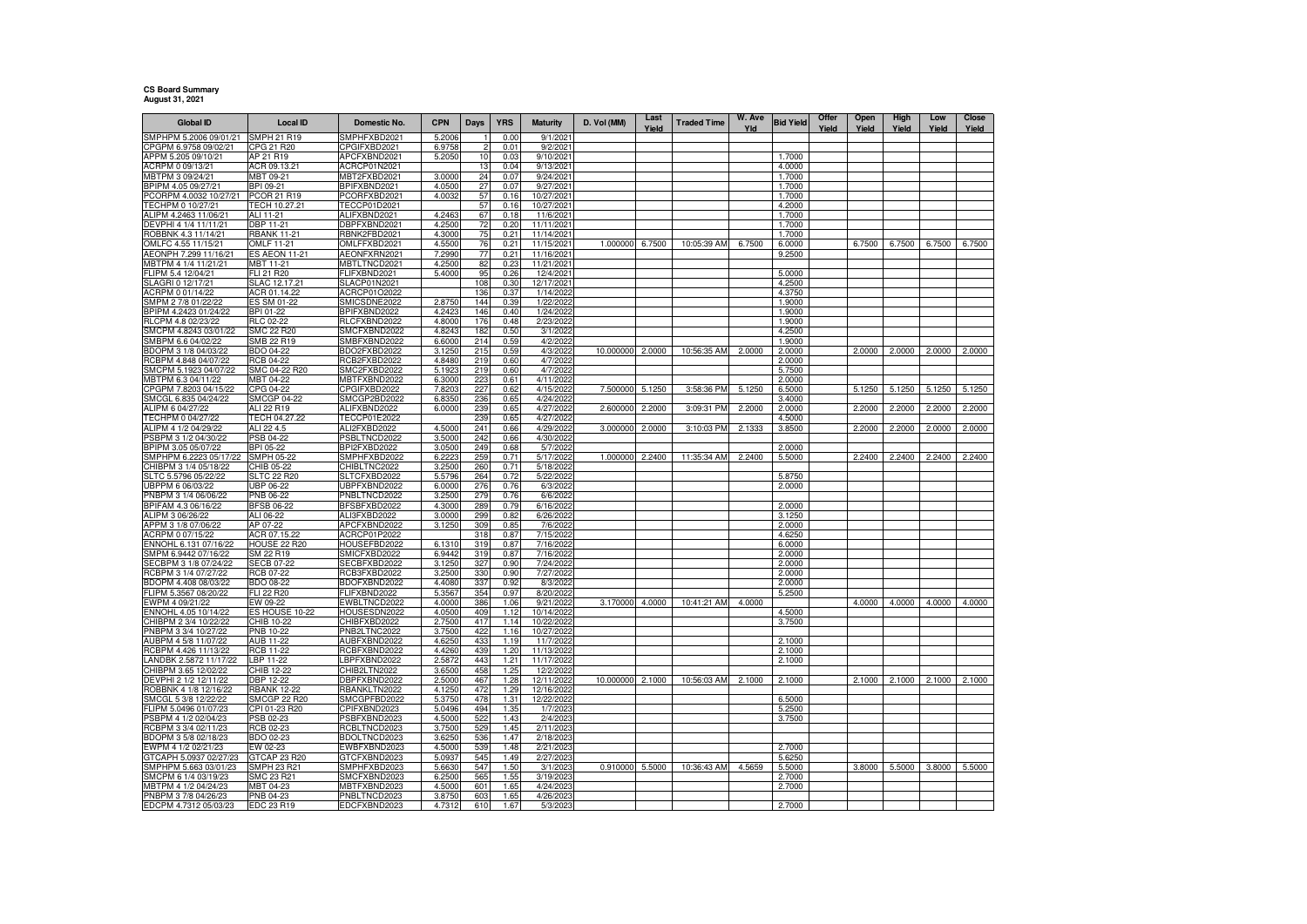## **CS Board Summary August 31, 2021**

| <b>Global ID</b>                               | <b>Local ID</b>                       | Domestic No.                        | <b>CPN</b>       | Days       | <b>YRS</b>            | <b>Maturity</b>         | D. Vol (MM)     | Last<br>Yield | <b>Traded Time</b> | W. Ave<br>Yld | <b>Bid Yield</b> | Offer<br>Yield | Open<br>Yield | High<br>Yield | Low<br>Yield | Close<br>Yield |
|------------------------------------------------|---------------------------------------|-------------------------------------|------------------|------------|-----------------------|-------------------------|-----------------|---------------|--------------------|---------------|------------------|----------------|---------------|---------------|--------------|----------------|
| SMPHPM 5.2006 09/01/21                         | SMPH 21 R19                           | SMPHFXBD2021                        | 5.2006           |            | 0.00                  | 9/1/202                 |                 |               |                    |               |                  |                |               |               |              |                |
| CPGPM 6.9758 09/02/21                          | CPG 21 R20                            | CPGIFXBD2021                        | 6.9758           | 2          | 0.01                  | 9/2/202                 |                 |               |                    |               |                  |                |               |               |              |                |
| APPM 5.205 09/10/21                            | AP 21 R19                             | APCFXBND2021                        | 5.2050           | 10         | 0.03                  | 9/10/202                |                 |               |                    |               | 1.7000           |                |               |               |              |                |
| ACRPM 0 09/13/21                               | ACR 09.13.21                          | ACRCP01N2021                        |                  | 13         | 0.04                  | 9/13/2021               |                 |               |                    |               | 4.0000           |                |               |               |              |                |
| MBTPM 3 09/24/21                               | MBT 09-21                             | MBT2FXBD2021                        | 3.0000           | 24         | 0.07                  | 9/24/202                |                 |               |                    |               | 1.7000           |                |               |               |              |                |
| BPIPM 4.05 09/27/21<br>PCORPM 4.0032 10/27/21  | BPI 09-21<br>PCOR 21 R19              | BPIFXBND2021<br>PCORFXBD2021        | 4.0500<br>4.0032 | 27<br>57   | 0.07<br>0.16          | 9/27/202<br>10/27/202   |                 |               |                    |               | 1.7000<br>1.7000 |                |               |               |              |                |
| FECHPM 0 10/27/21                              | TECH 10.27.21                         | <b>TECCP01D2021</b>                 |                  | 57         | 0.16                  | 10/27/202               |                 |               |                    |               | 4.2000           |                |               |               |              |                |
| ALIPM 4.2463 11/06/21                          | ALI 11-21                             | ALIFXBND2021                        | 4.2463           | 67         | 0.18                  | 11/6/202                |                 |               |                    |               | 1.7000           |                |               |               |              |                |
| DEVPHI 4 1/4 11/11/21                          | <b>DBP 11-21</b>                      | DBPFXBND2021                        | 4.2500           | 72         | 0.20                  | 11/11/2021              |                 |               |                    |               | 1.7000           |                |               |               |              |                |
| ROBBNK 4.3 11/14/21                            | <b>RBANK 11-21</b>                    | RBNK2FBD2021                        | 4.3000           | 75         | 0.21                  | 11/14/2021              |                 |               |                    |               | 1.7000           |                |               |               |              |                |
| OMLFC 4.55 11/15/21                            | OMLF 11-21                            | OMLFFXBD2021                        | 4.5500           | 76         | 0.21                  | 11/15/2021              | 1.000000 6.7500 |               | 10:05:39 AM        | 6.7500        | 6.0000           |                | 6.7500        | 6.7500        | 6.7500       | 6.7500         |
| AEONPH 7.299 11/16/21<br>MBTPM 4 1/4 11/21/21  | <b>ES AEON 11-21</b><br>MBT 11-21     | AEONFXRN2021<br><b>MBTLTNCD2021</b> | 7.2990<br>4.2500 | 77<br>82   | $0.2^{\circ}$<br>0.23 | 11/16/202<br>11/21/2021 |                 |               |                    |               | 9.2500           |                |               |               |              |                |
| FLIPM 5.4 12/04/21                             | FLI 21 R20                            | FLIFXBND2021                        | 5.4000           | 95         | 0.26                  | 12/4/2021               |                 |               |                    |               | 5.0000           |                |               |               |              |                |
| SLAGRI 0 12/17/21                              | SLAC 12.17.21                         | <b>SLACP01N2021</b>                 |                  | 108        | 0.30                  | 12/17/2021              |                 |               |                    |               | 4.2500           |                |               |               |              |                |
| ACRPM 0 01/14/22                               | ACR 01.14.22                          | ACRCP01O2022                        |                  | 136        | 0.37                  | 1/14/2022               |                 |               |                    |               | 4.3750           |                |               |               |              |                |
| SMPM 2 7/8 01/22/22                            | ES SM 01-22                           | SMICSDNE2022                        | 2.8750           | 144        | 0.39                  | 1/22/2022               |                 |               |                    |               | 1.9000           |                |               |               |              |                |
| BPIPM 4.2423 01/24/22                          | BPI 01-22                             | BPIFXBND2022                        | 4.2423           | 146        | 0.40                  | 1/24/2022               |                 |               |                    |               | 1.9000           |                |               |               |              |                |
| RLCPM 4.8 02/23/22<br>SMCPM 4.8243 03/01/22    | <b>RLC 02-22</b><br><b>SMC 22 R20</b> | RLCFXBND2022<br>SMCFXBND2022        | 4.8000<br>4.8243 | 176<br>182 | 0.48<br>0.50          | 2/23/2022<br>3/1/2022   |                 |               |                    |               | 1.9000<br>4.2500 |                |               |               |              |                |
| SMBPM 6.6 04/02/22                             | SMB 22 R19                            | SMBFXBND2022                        | 6.6000           | 214        | 0.59                  | 4/2/2022                |                 |               |                    |               | 1.9000           |                |               |               |              |                |
| BDOPM 3 1/8 04/03/22                           | BDO 04-22                             | BDO2FXBD2022                        | 3.1250           | 215        | 0.59                  | 4/3/2022                | 10.000000       | 2.0000        | 10:56:35 AM        | 2.0000        | 2.0000           |                | 2.0000        | 2.0000        | 2.0000       | 2.0000         |
| RCBPM 4.848 04/07/22                           | <b>RCB 04-22</b>                      | RCB2FXBD2022                        | 4.8480           | 219        | 0.60                  | 4/7/2022                |                 |               |                    |               | 2.0000           |                |               |               |              |                |
| SMCPM 5.1923 04/07/22                          | SMC 04-22 R20                         | SMC2FXBD2022                        | 5.1923           | 219        | 0.60                  | 4/7/2022                |                 |               |                    |               | 5.7500           |                |               |               |              |                |
| MBTPM 6.3 04/11/22                             | MBT 04-22                             | <b>MBTFXBND2022</b>                 | 6.3000           | 223        | 0.61                  | 4/11/2022               |                 |               |                    |               | 2.0000           |                |               |               |              |                |
| CPGPM 7.8203 04/15/22                          | CPG 04-22                             | CPGIFXBD2022                        | 7.8203           | 227        | 0.62                  | 4/15/2022               | 7.500000        | 5.1250        | 3:58:36 PM         | 5.1250        | 6.5000           |                | 5.1250        | 5.1250        | 5.1250       | 5.1250         |
| SMCGL 6.835 04/24/22<br>ALIPM 6 04/27/22       | <b>SMCGP 04-22</b><br>ALI 22 R19      | SMCGP2BD2022<br>ALIFXBND2022        | 6.8350<br>6.0000 | 236<br>239 | 0.65<br>0.65          | 4/24/202<br>4/27/2022   | 2.600000        | 2.2000        | 3:09:31 PM         | 2.2000        | 3.4000<br>2.0000 |                | 2.2000        | 2.2000        | 2.2000       | 2.2000         |
| TECHPM 0 04/27/22                              | TECH 04.27.22                         | TECCP01E2022                        |                  | 239        | 0.65                  | 4/27/2022               |                 |               |                    |               | 4.5000           |                |               |               |              |                |
| ALIPM 4 1/2 04/29/22                           | ALI 22 4.5                            | ALI2FXBD2022                        | 4.5000           | 241        | 0.66                  | 4/29/202                | 3.000000        | 2.0000        | 3:10:03 PM         | 2.1333        | 3.8500           |                | 2.2000        | 2.2000        | 2.0000       | 2.0000         |
| SBPM 3 1/2 04/30/22                            | PSB 04-22                             | PSBLTNCD2022                        | 3.5000           | 242        | 0.66                  | 4/30/2022               |                 |               |                    |               |                  |                |               |               |              |                |
| BPIPM 3.05 05/07/22                            | BPI 05-22                             | BPI2FXBD2022                        | 3.0500           | 249        | 0.68                  | 5/7/2022                |                 |               |                    |               | 2.0000           |                |               |               |              |                |
| SMPHPM 6.2223 05/17/22                         | SMPH 05-22                            | SMPHFXBD2022<br>CHIBLTNC2022        | 6.2223           | 259        | $0.7^{\circ}$         | 5/17/2022               | 1.000000        | 2.2400        | 11:35:34 AM        | 2.2400        | 5.5000           |                | 2.2400        | 2.2400        | 2.2400       | 2.2400         |
| CHIBPM 3 1/4 05/18/22<br>SLTC 5.5796 05/22/22  | CHIB 05-22<br><b>SLTC 22 R20</b>      | SLTCFXBD2022                        | 3.2500<br>5.5796 | 260<br>264 | 0.71<br>0.72          | 5/18/2022<br>5/22/2022  |                 |               |                    |               | 5.8750           |                |               |               |              |                |
| UBPPM 6 06/03/22                               | UBP 06-22                             | JBPFXBND2022                        | 6.0000           | 276        | 0.76                  | 6/3/2022                |                 |               |                    |               | 2.0000           |                |               |               |              |                |
| PNBPM 3 1/4 06/06/22                           | PNB 06-22                             | PNBLTNCD2022                        | 3.2500           | 279        | 0.76                  | 6/6/2022                |                 |               |                    |               |                  |                |               |               |              |                |
| BPIFAM 4.3 06/16/22                            | <b>BFSB 06-22</b>                     | BFSBFXBD2022                        | 4.3000           | 289        | 0.79                  | 6/16/2022               |                 |               |                    |               | 2.0000           |                |               |               |              |                |
| ALIPM 3 06/26/22                               | ALI 06-22                             | ALI3FXBD2022                        | 3.0000           | 299        | 0.82                  | 6/26/202                |                 |               |                    |               | 3.1250           |                |               |               |              |                |
| APPM 3 1/8 07/06/22                            | AP 07-22                              | APCFXBND2022                        | 3.1250           | 309        | 0.85                  | 7/6/202                 |                 |               |                    |               | 2.0000           |                |               |               |              |                |
| ACRPM 0 07/15/22<br>ENNOHL 6.131 07/16/22      | ACR 07.15.22<br><b>HOUSE 22 R20</b>   | ACRCP01P2022<br>HOUSEFBD2022        | 6.1310           | 318<br>319 | 0.87<br>0.87          | 7/15/2022<br>7/16/202   |                 |               |                    |               | 4.6250<br>6.0000 |                |               |               |              |                |
| SMPM 6.9442 07/16/22                           | SM 22 R19                             | SMICFXBD2022                        | 6.9442           | 319        | 0.87                  | 7/16/2022               |                 |               |                    |               | 2.0000           |                |               |               |              |                |
| SECBPM 3 1/8 07/24/22                          | <b>SECB 07-22</b>                     | SECBFXBD2022                        | 3.1250           | 327        | 0.90                  | 7/24/2022               |                 |               |                    |               | 2.0000           |                |               |               |              |                |
| RCBPM 3 1/4 07/27/22                           | <b>RCB 07-22</b>                      | RCB3FXBD2022                        | 3.2500           | 330        | 0.90                  | 7/27/202                |                 |               |                    |               | 2.0000           |                |               |               |              |                |
| BDOPM 4.408 08/03/22                           | BDO 08-22                             | BDOFXBND2022                        | 4.4080           | 337        | 0.92                  | 8/3/2022                |                 |               |                    |               | 2.0000           |                |               |               |              |                |
| FLIPM 5.3567 08/20/22<br>EWPM 4 09/21/22       | FLI 22 R20<br>EW 09-22                | FLIFXBND2022<br>EWBLTNCD2022        | 5.3567<br>4.0000 | 354<br>386 | 0.97<br>1.06          | 8/20/2022<br>9/21/2022  | 3.170000        | 4.0000        | 10:41:21 AM        | 4.0000        | 5.2500           |                | 4.0000        | 4.0000        | 4.0000       | 4.0000         |
| ENNOHL 4.05 10/14/22                           | ES HOUSE 10-22                        | HOUSESDN2022                        | 4.0500           | 409        | 1.12                  | 10/14/2022              |                 |               |                    |               | 4.5000           |                |               |               |              |                |
| CHIBPM 2 3/4 10/22/22                          | CHIB 10-22                            | CHIBFXBD2022                        | 2.7500           | 417        | 1.14                  | 10/22/2022              |                 |               |                    |               | 3.7500           |                |               |               |              |                |
| PNBPM 3 3/4 10/27/22                           | PNB 10-22                             | PNB2LTNC2022                        | 3.7500           | 422        | 1.16                  | 10/27/202               |                 |               |                    |               |                  |                |               |               |              |                |
| AUBPM 4 5/8 11/07/22                           | AUB 11-22                             | AUBFXBND2022                        | 4.6250           | 433        | 1.19                  | 11/7/202                |                 |               |                    |               | 2.1000           |                |               |               |              |                |
| RCBPM 4.426 11/13/22                           | RCB 11-22                             | RCBFXBND2022                        | 4.4260           | 439        | 1.20                  | 11/13/2022              |                 |               |                    |               | 2.1000           |                |               |               |              |                |
| LANDBK 2.5872 11/17/22<br>CHIBPM 3.65 12/02/22 | LBP 11-22<br>CHIB 12-22               | LBPFXBND2022<br>CHIB2LTN2022        | 2.5872<br>3.6500 | 443<br>458 | 1.21<br>1.25          | 11/17/202<br>12/2/2022  |                 |               |                    |               | 2.1000           |                |               |               |              |                |
| DEVPHI 2 1/2 12/11/22                          | DBP 12-22                             | DBPFXBND2022                        | 2.5000           | 467        | 1.28                  | 12/11/2022              | 10.000000       | 2.1000        | 10:56:03 AM        | 2.1000        | 2.1000           |                | 2.1000        | 2.1000        | 2.1000       | 2.1000         |
| ROBBNK 4 1/8 12/16/22                          | <b>RBANK 12-22</b>                    | RBANKLTN2022                        | 4.1250           | 472        | 1.29                  | 12/16/2022              |                 |               |                    |               |                  |                |               |               |              |                |
| SMCGL 5 3/8 12/22/22                           | <b>SMCGP 22 R20</b>                   | SMCGPFBD2022                        | 5.3750           | 478        | 1.3 <sup>2</sup>      | 12/22/2022              |                 |               |                    |               | 6.5000           |                |               |               |              |                |
| ELIPM 5.0496 01/07/23                          | CPI 01-23 R20                         | CPIFXBND2023                        | 5.0496           | 494        | 1.35                  | 1/7/2023                |                 |               |                    |               | 5.2500           |                |               |               |              |                |
| PSBPM 4 1/2 02/04/23                           | PSB 02-23                             | PSBFXBND2023                        | 4.5000           | 522        | 1.43                  | 2/4/2023                |                 |               |                    |               | 3.7500           |                |               |               |              |                |
| RCBPM 3 3/4 02/11/23<br>BDOPM 3 5/8 02/18/23   | <b>RCB 02-23</b><br>BDO 02-23         | RCBLTNCD2023<br>BDOLTNCD2023        | 3.7500<br>3.6250 | 529        | 1.45<br>1.47          | 2/11/2023<br>2/18/2023  |                 |               |                    |               |                  |                |               |               |              |                |
| EWPM 4 1/2 02/21/23                            | EW 02-23                              | EWBFXBND2023                        | 4.5000           | 536<br>539 | 1.48                  | 2/21/2023               |                 |               |                    |               | 2.7000           |                |               |               |              |                |
| GTCAPH 5.0937 02/27/23                         | GTCAP 23 R20                          | GTCFXBND2023                        | 5.093            | 545        | 1.49                  | 2/27/202                |                 |               |                    |               | 5.6250           |                |               |               |              |                |
| SMPHPM 5.663 03/01/23                          | SMPH 23 R21                           | SMPHFXBD2023                        | 5.6630           | 547        | 1.50                  | 3/1/2023                | 0.910000        | 5.5000        | 10:36:43 AM        | 4.5659        | 5.5000           |                |               | 3.8000 5.5000 | 3.8000       | 5.5000         |
| SMCPM 6 1/4 03/19/23                           | SMC 23 R21                            | SMCFXBND2023                        | 6.2500           | 565        | 1.55                  | 3/19/202                |                 |               |                    |               | 2.7000           |                |               |               |              |                |
| MBTPM 4 1/2 04/24/23                           | MBT 04-23                             | MBTFXBND2023                        | 4.5000           | 601        | 1.65                  | 4/24/202                |                 |               |                    |               | 2.7000           |                |               |               |              |                |
| PNBPM 3 7/8 04/26/23                           | PNB 04-23                             | PNBLTNCD2023                        | 3.8750           | 603        | 1.65                  | 4/26/2023               |                 |               |                    |               |                  |                |               |               |              |                |
| EDCPM 4.7312 05/03/23                          | EDC 23 R19                            | EDCFXBND2023                        | 4.7312           | 610        | 1.67                  | 5/3/2023                |                 |               |                    |               | 2.7000           |                |               |               |              |                |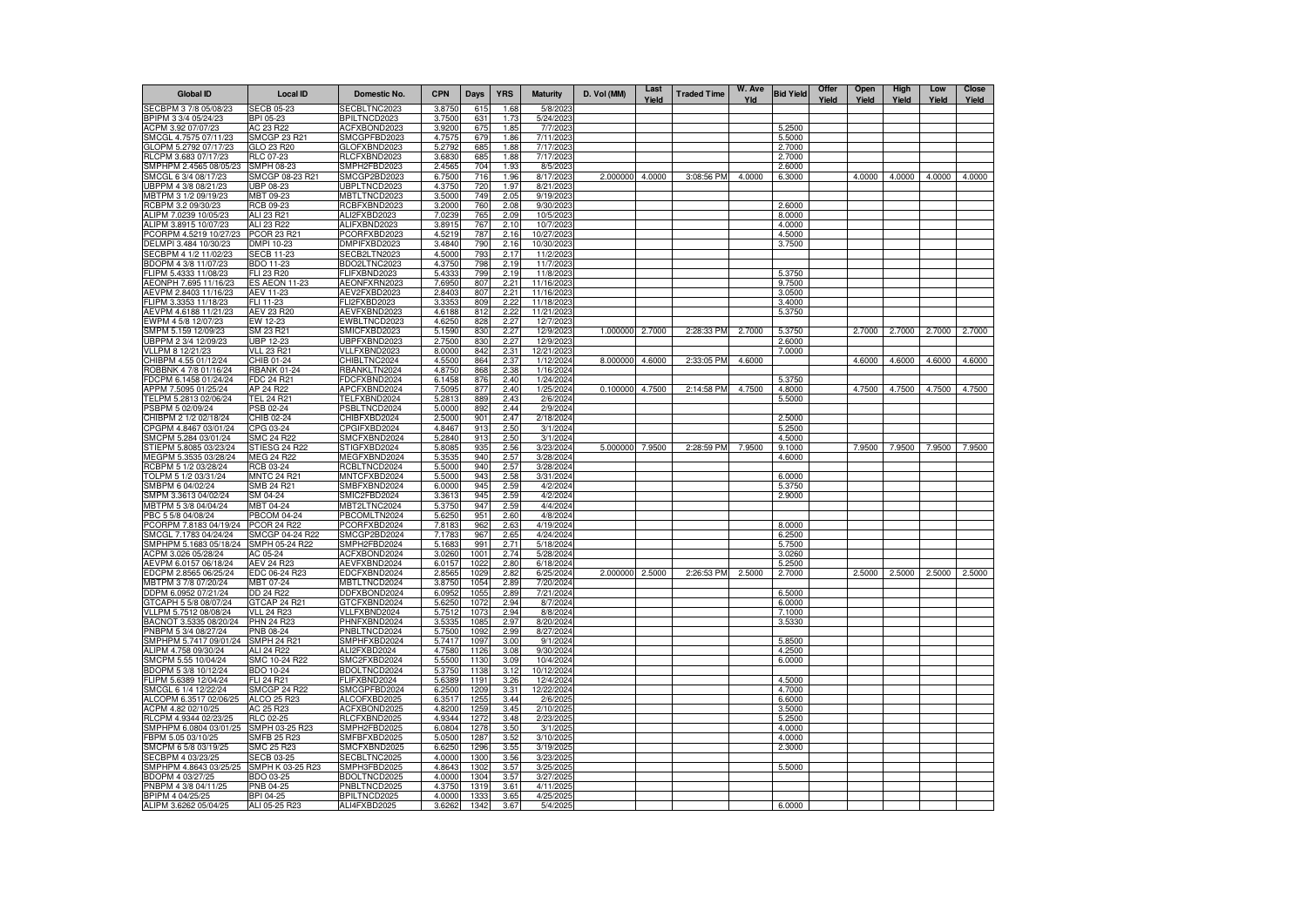| <b>Global ID</b>                                | <b>Local ID</b>                          | Domestic No.                        | <b>CPN</b>       | <b>Days</b>  | <b>YRS</b>   | <b>Maturity</b>          | D. Vol (MM)     | Last<br>Yield | <b>Traded Time</b> | W. Ave<br>Yld | <b>Bid Yield</b> | Offer<br>Yield | Open<br>Yield | High<br>Yield        | Low<br>Yield | <b>Close</b><br>Yield |
|-------------------------------------------------|------------------------------------------|-------------------------------------|------------------|--------------|--------------|--------------------------|-----------------|---------------|--------------------|---------------|------------------|----------------|---------------|----------------------|--------------|-----------------------|
| SECBPM 3 7/8 05/08/23                           | <b>SECB 05-23</b>                        | SECBLTNC2023                        | 3.8750           | 615          | 1.68         | 5/8/2023                 |                 |               |                    |               |                  |                |               |                      |              |                       |
| BPIPM 3 3/4 05/24/23                            | BPI 05-23                                | BPILTNCD2023                        | 3.7500           | 631          | 1.73         | 5/24/2023                |                 |               |                    |               |                  |                |               |                      |              |                       |
| ACPM 3.92 07/07/23<br>SMCGL 4.7575 07/11/23     | AC 23 R22<br>SMCGP 23 R21                | ACFXBOND2023<br>SMCGPFBD2023        | 3.9200<br>4.7575 | 675<br>679   | 1.85<br>1.86 | 7/7/2023<br>7/11/2023    |                 |               |                    |               | 5.2500<br>5.5000 |                |               |                      |              |                       |
| GLOPM 5.2792 07/17/23                           | GLO 23 R20                               | GLOFXBND2023                        | 5.2792           | 685          | 1.88         | 7/17/2023                |                 |               |                    |               | 2.7000           |                |               |                      |              |                       |
| RLCPM 3.683 07/17/23                            | RLC 07-23                                | RLCFXBND2023                        | 3.6830           | 685          | 1.88         | 7/17/2023                |                 |               |                    |               | 2.7000           |                |               |                      |              |                       |
| SMPHPM 2.4565 08/05/23                          | SMPH 08-23                               | SMPH2FBD2023                        | 2.4565           | 704          | 1.93         | 8/5/2023                 |                 |               |                    |               | 2.6000           |                |               |                      |              |                       |
| SMCGL 6 3/4 08/17/23                            | SMCGP 08-23 R21                          | SMCGP2BD2023                        | 6.7500           | 716          | 1.96         | 8/17/2023                | 2.000000        | 4.0000        | 3:08:56 PM         | 4.0000        | 6.3000           |                | 4.0000        | 4.0000               | 4.0000       | 4.0000                |
| UBPPM 4 3/8 08/21/23                            | UBP 08-23                                | UBPLTNCD2023                        | 4.3750           | 720          | 1.97         | 8/21/2023                |                 |               |                    |               |                  |                |               |                      |              |                       |
| MBTPM 3 1/2 09/19/23                            | MBT 09-23                                | MBTLTNCD2023                        | 3.5000           | 749          | 2.05         | 9/19/2023                |                 |               |                    |               |                  |                |               |                      |              |                       |
| RCBPM 3.2 09/30/23<br>ALIPM 7.0239 10/05/23     | RCB 09-23<br>ALI 23 R21                  | RCBFXBND2023                        | 3.2000           | 760<br>765   | 2.08         | 9/30/2023                |                 |               |                    |               | 2.6000<br>8.0000 |                |               |                      |              |                       |
| ALIPM 3.8915 10/07/23                           | ALI 23 R22                               | ALI2FXBD2023<br>ALIFXBND2023        | 7.0239<br>3.8915 | 767          | 2.09<br>2.10 | 10/5/2023<br>10/7/2023   |                 |               |                    |               | 4.0000           |                |               |                      |              |                       |
| PCORPM 4.5219 10/27/23                          | PCOR 23 R21                              | PCORFXBD2023                        | 4.5219           | 787          | 2.16         | 10/27/2023               |                 |               |                    |               | 4.5000           |                |               |                      |              |                       |
| DELMPI 3.484 10/30/23                           | DMPI 10-23                               | DMPIFXBD2023                        | 3.4840           | 790          | 2.16         | 10/30/2023               |                 |               |                    |               | 3.7500           |                |               |                      |              |                       |
| SECBPM 4 1/2 11/02/23                           | <b>SECB 11-23</b>                        | SECB2LTN2023                        | 4.5000           | 793          | 2.17         | 11/2/2023                |                 |               |                    |               |                  |                |               |                      |              |                       |
| BDOPM 4 3/8 11/07/23                            | BDO 11-23                                | BDO2LTNC2023                        | 4.3750           | 798          | 2.19         | 11/7/2023                |                 |               |                    |               |                  |                |               |                      |              |                       |
| FLIPM 5.4333 11/08/23                           | FLI 23 R20                               | <b>ELIFXBND2023</b>                 | 5.433            | 799          | 2.19         | 11/8/2023                |                 |               |                    |               | 5.3750           |                |               |                      |              |                       |
| AEONPH 7.695 11/16/23                           | <b>ES AEON 11-23</b><br><b>AEV 11-23</b> | AEONFXRN2023                        | 7.6950<br>2.8403 | 807<br>807   | 2.21<br>2.21 | 11/16/2023<br>11/16/2023 |                 |               |                    |               | 9.7500           |                |               |                      |              |                       |
| AEVPM 2.8403 11/16/23<br>FLIPM 3.3353 11/18/23  | FLI 11-23                                | AEV2FXBD2023<br>FLI2FXBD2023        | 3.335            | 809          | 2.22         | 11/18/2023               |                 |               |                    |               | 3.0500<br>3.4000 |                |               |                      |              |                       |
| AEVPM 4.6188 11/21/23                           | AEV 23 R20                               | AEVFXBND2023                        | 4.6188           | 812          | 2.22         | 11/21/2023               |                 |               |                    |               | 5.3750           |                |               |                      |              |                       |
| EWPM 4 5/8 12/07/23                             | $\overline{\text{EW}}$ 12-23             | EWBLTNCD2023                        | 4.6250           | 828          | 2.27         | 12/7/2023                |                 |               |                    |               |                  |                |               |                      |              |                       |
| SMPM 5.159 12/09/23                             | SM 23 R21                                | SMICFXBD2023                        | 5.1590           | 830          | 2.27         | 12/9/2023                | 1.000000        | 2.7000        | 2:28:33 PM         | 2.7000        | 5.3750           |                | 2.7000        | 2.7000               | 2.7000       | 2.7000                |
| UBPPM 2 3/4 12/09/23                            | JBP 12-23                                | JBPFXBND2023                        | 2.7500           | 830          | 2.27         | 12/9/2023                |                 |               |                    |               | 2.6000           |                |               |                      |              |                       |
| VLLPM 8 12/21/23                                | <b>VLL 23 R21</b>                        | VLLFXBND2023                        | 8.0000           | 842          | 2.31         | 12/21/2023               |                 |               |                    |               | 7.0000           |                |               |                      |              |                       |
| CHIBPM 4.55 01/12/24                            | CHIB 01-24                               | CHIBLTNC2024                        | 4.5500           | 864          | 2.37         | 1/12/2024                | 8.000000        | 4.6000        | 2:33:05 PM         | 4.6000        |                  |                | 4.6000        | 4.6000               | 4.6000       | 4.6000                |
| ROBBNK 4 7/8 01/16/24                           | <b>RBANK 01-24</b><br>FDC 24 R21         | RBANKLTN2024                        | 4.8750<br>6.1458 | 868<br>876   | 2.38<br>2.40 | 1/16/2024<br>1/24/2024   |                 |               |                    |               | 5.3750           |                |               |                      |              |                       |
| FDCPM 6.1458 01/24/24<br>APPM 7.5095 01/25/24   | AP 24 R22                                | FDCFXBND2024<br>APCFXBND2024        | 7.5095           | 877          | 2.40         | 1/25/2024                | 0.100000        | 4.7500        | 2:14:58 PM         | 4.7500        | 4.8000           |                | 4.7500        | 4.7500               | 4.7500       | 4.7500                |
| TELPM 5.2813 02/06/24                           | TEL 24 R21                               | TELFXBND2024                        | 5.2813           | 889          | 2.43         | 2/6/2024                 |                 |               |                    |               | 5.5000           |                |               |                      |              |                       |
| PSBPM 5 02/09/24                                | PSB 02-24                                | PSBLTNCD2024                        | 5.0000           | 892          | 2.44         | 2/9/2024                 |                 |               |                    |               |                  |                |               |                      |              |                       |
| CHIBPM 2 1/2 02/18/24                           | CHIB 02-24                               | CHIBFXBD2024                        | 2.5000           | 901          | 2.47         | 2/18/2024                |                 |               |                    |               | 2.5000           |                |               |                      |              |                       |
| CPGPM 4.8467 03/01/24                           | CPG 03-24                                | CPGIFXBD2024                        | 4.8467           | 913          | 2.50         | 3/1/2024                 |                 |               |                    |               | 5.2500           |                |               |                      |              |                       |
| SMCPM 5.284 03/01/24                            | SMC 24 R22                               | SMCFXBND2024                        | 5.2840           | 913          | 2.50         | 3/1/2024                 |                 |               |                    |               | 4.5000           |                |               |                      |              |                       |
| STIEPM 5.8085 03/23/24                          | STIESG 24 R22<br><b>MEG 24 R22</b>       | STIGFXBD2024<br><b>MEGFXBND2024</b> | 5.8085<br>5.3535 | 935<br>940   | 2.56<br>2.57 | 3/23/2024                | 5.000000        | 7.9500        | 2:28:59 PM         | 7.9500        | 9.1000<br>4.6000 |                | 7.9500        | 7.9500               | 7.9500       | 7.9500                |
| MEGPM 5.3535 03/28/24<br>RCBPM 5 1/2 03/28/24   | RCB 03-24                                | RCBLTNCD2024                        | 5.5000           | 940          | 2.57         | 3/28/2024<br>3/28/2024   |                 |               |                    |               |                  |                |               |                      |              |                       |
| TOLPM 5 1/2 03/31/24                            | <b>MNTC 24 R21</b>                       | MNTCFXBD2024                        | 5.5000           | 943          | 2.58         | 3/31/2024                |                 |               |                    |               | 6,0000           |                |               |                      |              |                       |
| SMBPM 6 04/02/24                                | SMB 24 R21                               | SMBFXBND2024                        | 6.0000           | 945          | 2.59         | 4/2/2024                 |                 |               |                    |               | 5.3750           |                |               |                      |              |                       |
| SMPM 3.3613 04/02/24                            | SM 04-24                                 | SMIC2FBD2024                        | 3.361            | 945          | 2.59         | 4/2/2024                 |                 |               |                    |               | 2.9000           |                |               |                      |              |                       |
| MBTPM 5 3/8 04/04/24                            | MBT 04-24                                | MBT2LTNC2024                        | 5.3750           | 947          | 2.59         | 4/4/2024                 |                 |               |                    |               |                  |                |               |                      |              |                       |
| PBC 5 5/8 04/08/24                              | <b>PBCOM 04-24</b>                       | PBCOMLTN2024                        | 5.6250           | 951          | 2.60         | 4/8/2024                 |                 |               |                    |               |                  |                |               |                      |              |                       |
| PCORPM 7.8183 04/19/24                          | <b>PCOR 24 R22</b>                       | PCORFXBD2024                        | 7.818            | 962          | 2.63         | 4/19/2024                |                 |               |                    |               | 8.0000           |                |               |                      |              |                       |
| SMCGL 7.1783 04/24/24<br>SMPHPM 5.1683 05/18/24 | SMCGP 04-24 R22<br>SMPH 05-24 R22        | SMCGP2BD2024<br>SMPH2FBD2024        | 7.178<br>5.168   | 967<br>991   | 2.65<br>2.71 | 4/24/2024<br>5/18/2024   |                 |               |                    |               | 6.2500<br>5.7500 |                |               |                      |              |                       |
| ACPM 3.026 05/28/24                             | AC 05-24                                 | ACFXBOND2024                        | 3.0260           | 1001         | 2.74         | 5/28/2024                |                 |               |                    |               | 3.0260           |                |               |                      |              |                       |
| AEVPM 6.0157 06/18/24                           | AEV 24 R23                               | AEVFXBND2024                        | 6.0157           | 1022         | 2.80         | 6/18/2024                |                 |               |                    |               | 5.2500           |                |               |                      |              |                       |
| EDCPM 2.8565 06/25/24                           | EDC 06-24 R23                            | EDCFXBND2024                        | 2.8565           | 1029         | 2.82         | 6/25/2024                | 2.000000 2.5000 |               | 2:26:53 PM         | 2.5000        | 2.7000           |                |               | 2.5000 2.5000 2.5000 |              | 2.5000                |
| MBTPM 3 7/8 07/20/24                            | MBT 07-24                                | MBTLTNCD2024                        | 3.8750           | 1054         | 2.89         | 7/20/2024                |                 |               |                    |               |                  |                |               |                      |              |                       |
| DDPM 6.0952 07/21/24                            | DD 24 R22                                | DDFXBOND2024                        | 6.0952           | 1055         | 2.89         | 7/21/2024                |                 |               |                    |               | 6.5000           |                |               |                      |              |                       |
| GTCAPH 5 5/8 08/07/24                           | GTCAP 24 R21                             | GTCFXBND2024                        | 5.6250           | 1072         | 2.94         | 8/7/2024                 |                 |               |                    |               | 6.0000           |                |               |                      |              |                       |
| VLLPM 5.7512 08/08/24<br>BACNOT 3.5335 08/20/24 | <b>VLL 24 R23</b><br>PHN 24 R23          | VLLFXBND2024<br>PHNFXBND2024        | 5.7512<br>3.5335 | 1073<br>1085 | 2.94<br>2.97 | 8/8/2024<br>8/20/2024    |                 |               |                    |               | 7.1000<br>3.5330 |                |               |                      |              |                       |
| PNBPM 5 3/4 08/27/24                            | PNB 08-24                                | PNBLTNCD2024                        | 5.7500           | 1092         | 2.99         | 8/27/2024                |                 |               |                    |               |                  |                |               |                      |              |                       |
| SMPHPM 5.7417 09/01/24                          | <b>SMPH 24 R21</b>                       | SMPHFXBD2024                        | 5.7417           | 1097         | 3.00         | 9/1/2024                 |                 |               |                    |               | 5.8500           |                |               |                      |              |                       |
| ALIPM 4.758 09/30/24                            | ALI 24 R22                               | ALI2FXBD2024                        | 4.7580           | 1126         | 3.08         | 9/30/2024                |                 |               |                    |               | 4.2500           |                |               |                      |              |                       |
| SMCPM 5.55 10/04/24                             | SMC 10-24 R22                            | SMC2FXBD2024                        | 5.5500           | 1130         | 3.09         | 10/4/2024                |                 |               |                    |               | 6.0000           |                |               |                      |              |                       |
| BDOPM 5 3/8 10/12/24                            | BDO 10-24                                | BDOLTNCD2024                        | 5.3750           | 1138         | 3.12         | 10/12/2024               |                 |               |                    |               |                  |                |               |                      |              |                       |
| FLIPM 5.6389 12/04/24                           | FLI 24 R21                               | FLIFXBND2024                        | 5.6389           | 1191         | 3.26         | 12/4/2024                |                 |               |                    |               | 4.5000           |                |               |                      |              |                       |
| SMCGL 6 1/4 12/22/24                            | <b>SMCGP 24 R22</b>                      | SMCGPFBD2024                        | 6.2500           | 1209         | 3.31         | 12/22/2024               |                 |               |                    |               | 4.7000           |                |               |                      |              |                       |
| ALCOPM 6.3517 02/06/25<br>ACPM 4.82 02/10/25    | ALCO 25 R23<br>AC 25 R23                 | ALCOFXBD2025<br>ACFXBOND2025        | 6.3517<br>4.8200 | 1255<br>1259 | 3.44<br>3.45 | 2/6/2025<br>2/10/2025    |                 |               |                    |               | 6.6000<br>3.5000 |                |               |                      |              |                       |
| RLCPM 4.9344 02/23/25                           | RLC 02-25                                | RLCFXBND2025                        | 4.9344           | 1272         | 3.48         | 2/23/2025                |                 |               |                    |               | 5.2500           |                |               |                      |              |                       |
| SMPHPM 6.0804 03/01/25                          | SMPH 03-25 R23                           | SMPH2FBD2025                        | 6.0804           | 1278         | 3.50         | 3/1/2025                 |                 |               |                    |               | 4.0000           |                |               |                      |              |                       |
| FBPM 5.05 03/10/25                              | SMFB 25 R23                              | SMFBFXBD2025                        | 5.0500           | 1287         | 3.52         | 3/10/2025                |                 |               |                    |               | 4.0000           |                |               |                      |              |                       |
| SMCPM 6 5/8 03/19/25                            | <b>SMC 25 R23</b>                        | SMCFXBND2025                        | 6.6250           | 1296         | 3.55         | 3/19/2025                |                 |               |                    |               | 2.3000           |                |               |                      |              |                       |
| SECBPM 4 03/23/25                               | <b>SECB 03-25</b>                        | SECBLTNC2025                        | 4.0000           | 1300         | 3.56         | 3/23/2025                |                 |               |                    |               |                  |                |               |                      |              |                       |
| SMPHPM 4.8643 03/25/25                          | SMPH K 03-25 R23                         | SMPH3FBD2025                        | 4.8643           | 1302         | 3.57         | 3/25/2025                |                 |               |                    |               | 5.5000           |                |               |                      |              |                       |
| BDOPM 4 03/27/25<br>PNBPM 4 3/8 04/11/25        | BDO 03-25<br><b>PNB 04-25</b>            | BDOLTNCD2025<br>PNBLTNCD2025        | 4.0000<br>4.3750 | 1304<br>1319 | 3.57<br>3.61 | 3/27/2025<br>4/11/2025   |                 |               |                    |               |                  |                |               |                      |              |                       |
| BPIPM 4 04/25/25                                | BPI 04-25                                | <b>BPILTNCD2025</b>                 | 4.0000           | 1333         | 3.65         | 4/25/2025                |                 |               |                    |               |                  |                |               |                      |              |                       |
| ALIPM 3.6262 05/04/25                           | ALI 05-25 R23                            | ALI4FXBD2025                        | 3.6262           | 1342         | 3.67         | 5/4/2025                 |                 |               |                    |               | 6,0000           |                |               |                      |              |                       |